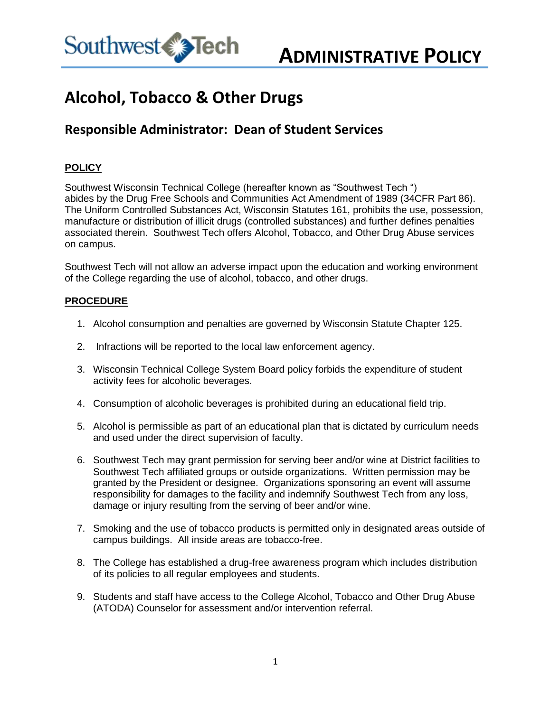

## **Alcohol, Tobacco & Other Drugs**

## **Responsible Administrator: Dean of Student Services**

## **POLICY**

Southwest Wisconsin Technical College (hereafter known as "Southwest Tech ") abides by the Drug Free Schools and Communities Act Amendment of 1989 (34CFR Part 86). The Uniform Controlled Substances Act, Wisconsin Statutes 161, prohibits the use, possession, manufacture or distribution of illicit drugs (controlled substances) and further defines penalties associated therein. Southwest Tech offers Alcohol, Tobacco, and Other Drug Abuse services on campus.

Southwest Tech will not allow an adverse impact upon the education and working environment of the College regarding the use of alcohol, tobacco, and other drugs.

## **PROCEDURE**

- 1. Alcohol consumption and penalties are governed by Wisconsin Statute Chapter 125.
- 2. Infractions will be reported to the local law enforcement agency.
- 3. Wisconsin Technical College System Board policy forbids the expenditure of student activity fees for alcoholic beverages.
- 4. Consumption of alcoholic beverages is prohibited during an educational field trip.
- 5. Alcohol is permissible as part of an educational plan that is dictated by curriculum needs and used under the direct supervision of faculty.
- 6. Southwest Tech may grant permission for serving beer and/or wine at District facilities to Southwest Tech affiliated groups or outside organizations. Written permission may be granted by the President or designee. Organizations sponsoring an event will assume responsibility for damages to the facility and indemnify Southwest Tech from any loss, damage or injury resulting from the serving of beer and/or wine.
- 7. Smoking and the use of tobacco products is permitted only in designated areas outside of campus buildings. All inside areas are tobacco-free.
- 8. The College has established a drug-free awareness program which includes distribution of its policies to all regular employees and students.
- 9. Students and staff have access to the College Alcohol, Tobacco and Other Drug Abuse (ATODA) Counselor for assessment and/or intervention referral.